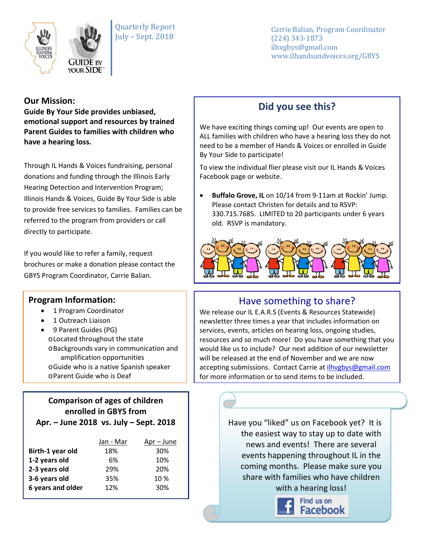

Quarterly Report July – Sept. 2018

Carrie Balian, Program Coordinator (224) 343-1873 ilhvgbys@gmail.com www.ilhandsandvoices.org/GBYS

#### **Our Mission:**

**Guide By Your Side provides unbiased, emotional support and resources by trained Parent Guides to families with children who have a hearing loss.** 

Through IL Hands & Voices fundraising, personal donations and funding through the Illinois Early Hearing Detection and Intervention Program; Illinois Hands & Voices, Guide By Your Side is able to provide free services to families. Families can be referred to the program from providers or call directly to participate.

If you would like to refer a family, request brochures or make a donation please contact the GBYS Program Coordinator, Carrie Balian.

#### **Program Information:**

- 1 Program Coordinator
- 1 Outreach Liaison
- 9 Parent Guides (PG) oLocated throughout the state oBackgrounds vary in communication and amplification opportunities oGuide who is a native Spanish speaker oParent Guide who is Deaf

# **Comparison of ages of children enrolled in GBYS from**

| Apr. - June 2018 vs. July - Sept. 2018 |  |  |
|----------------------------------------|--|--|
|----------------------------------------|--|--|

| Jan - Mar | Apr – June |
|-----------|------------|
| 18%       | 30%        |
| 6%        | 10%        |
| 29%       | 20%        |
| 35%       | 10%        |
| 12%       | 30%        |
|           |            |

### **Did you see this?**

We have exciting things coming up! Our events are open to ALL families with children who have a hearing loss they do not need to be a member of Hands & Voices or enrolled in Guide By Your Side to participate!

To view the individual flier please visit our IL Hands & Voices Facebook page or website.

• **Buffalo Grove, IL** on 10/14 from 9-11am at Rockin' Jump. Please contact Christen for details and to RSVP: 330.715.7685. LIMITED to 20 participants under 6 years old. RSVP is mandatory.



# Have something to share?

We release our IL E.A.R.S (Events & Resources Statewide) newsletter three times a year that includes information on services, events, articles on hearing loss, ongoing studies, resources and so much more! Do you have something that you would like us to include? Our next addition of our newsletter will be released at the end of November and we are now accepting submissions. Contact Carrie a[t ilhvgbys@gmail.com](mailto:ilhvgbys@gmail.com) for more information or to send items to be included.

> Have you "liked" us on Facebook yet? It is the easiest way to stay up to date with news and events! There are several events happening throughout IL in the coming months. Please make sure you share with families who have children with a hearing loss!